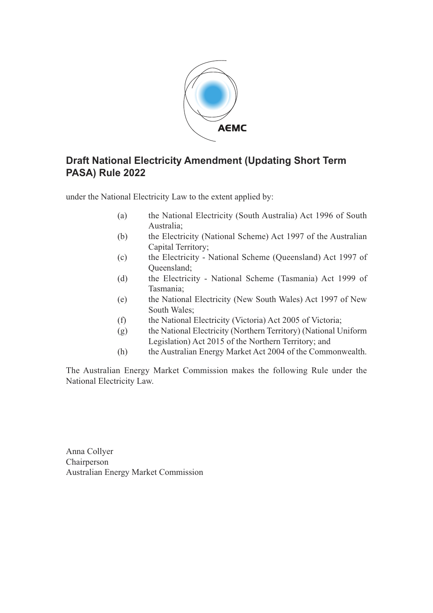

# **Draft National Electricity Amendment (Updating Short Term PASA) Rule 2022**

under the National Electricity Law to the extent applied by:

- (a) the National Electricity (South Australia) Act 1996 of South Australia;
- (b) the Electricity (National Scheme) Act 1997 of the Australian Capital Territory;
- (c) the Electricity National Scheme (Queensland) Act 1997 of Queensland;
- (d) the Electricity National Scheme (Tasmania) Act 1999 of Tasmania;
- (e) the National Electricity (New South Wales) Act 1997 of New South Wales;
- (f) the National Electricity (Victoria) Act 2005 of Victoria;
- (g) the National Electricity (Northern Territory) (National Uniform Legislation) Act 2015 of the Northern Territory; and
- (h) the Australian Energy Market Act 2004 of the Commonwealth.

The Australian Energy Market Commission makes the following Rule under the National Electricity Law.

Anna Collyer Chairperson Australian Energy Market Commission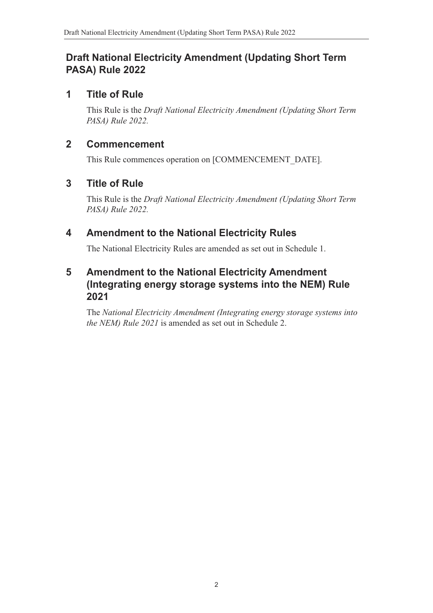# **Draft National Electricity Amendment (Updating Short Term PASA) Rule 2022**

# **1 Title of Rule**

This Rule is the *Draft National Electricity Amendment (Updating Short Term PASA) Rule 2022.* 

### **2 Commencement**

This Rule commences operation on [COMMENCEMENT\_DATE].

# **3 Title of Rule**

This Rule is the *Draft National Electricity Amendment (Updating Short Term PASA) Rule 2022.* 

# **4 Amendment to the National Electricity Rules**

The National Electricity Rules are amended as set out in Schedule 1.

## **5 Amendment to the National Electricity Amendment (Integrating energy storage systems into the NEM) Rule 2021**

The *National Electricity Amendment (Integrating energy storage systems into the NEM) Rule 2021* is amended as set out in Schedule 2.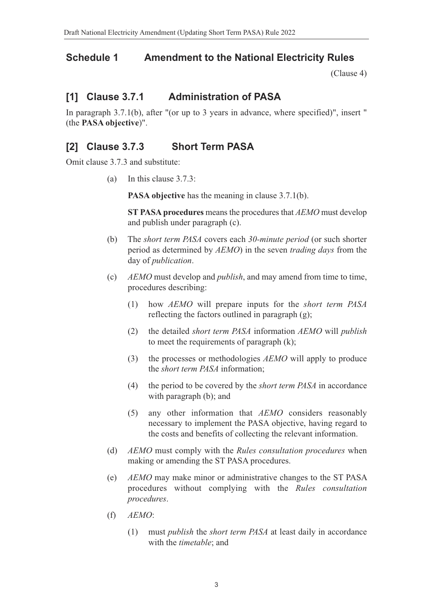### **Schedule 1 Amendment to the National Electricity Rules**

(Clause 4)

# **[1] Clause 3.7.1 Administration of PASA**

In paragraph 3.7.1(b), after "(or up to 3 years in advance, where specified)", insert " (the **PASA objective**)".

# **[2] Clause 3.7.3 Short Term PASA**

Omit clause 3.7.3 and substitute:

(a) In this clause 3.7.3:

**PASA objective** has the meaning in clause 3.7.1(b).

**ST PASA procedures** means the procedures that *AEMO* must develop and publish under paragraph (c).

- (b) The *short term PASA* covers each *30-minute period* (or such shorter period as determined by *AEMO*) in the seven *trading days* from the day of *publication*.
- (c) *AEMO* must develop and *publish*, and may amend from time to time, procedures describing:
	- (1) how *AEMO* will prepare inputs for the *short term PASA* reflecting the factors outlined in paragraph (g);
	- (2) the detailed *short term PASA* information *AEMO* will *publish* to meet the requirements of paragraph (k);
	- (3) the processes or methodologies *AEMO* will apply to produce the *short term PASA* information;
	- (4) the period to be covered by the *short term PASA* in accordance with paragraph (b); and
	- (5) any other information that *AEMO* considers reasonably necessary to implement the PASA objective, having regard to the costs and benefits of collecting the relevant information.
- (d) *AEMO* must comply with the *Rules consultation procedures* when making or amending the ST PASA procedures.
- (e) *AEMO* may make minor or administrative changes to the ST PASA procedures without complying with the *Rules consultation procedures*.
- (f) *AEMO*:
	- (1) must *publish* the *short term PASA* at least daily in accordance with the *timetable*; and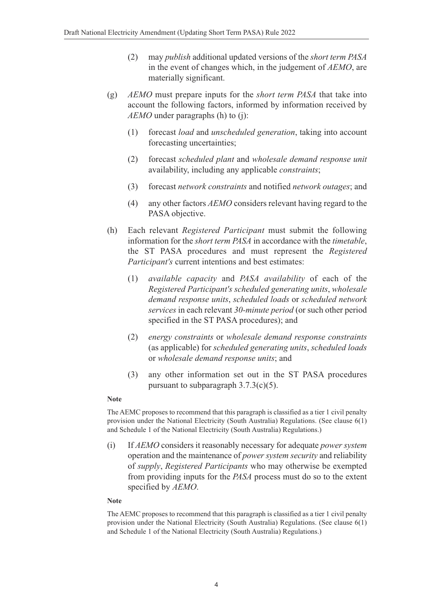- (2) may *publish* additional updated versions of the *short term PASA* in the event of changes which, in the judgement of *AEMO*, are materially significant.
- (g) *AEMO* must prepare inputs for the *short term PASA* that take into account the following factors, informed by information received by *AEMO* under paragraphs (h) to (j):
	- (1) forecast *load* and *unscheduled generation*, taking into account forecasting uncertainties;
	- (2) forecast *scheduled plant* and *wholesale demand response unit* availability, including any applicable *constraints*;
	- (3) forecast *network constraints* and notified *network outages*; and
	- (4) any other factors *AEMO* considers relevant having regard to the PASA objective.
- (h) Each relevant *Registered Participant* must submit the following information for the *short term PASA* in accordance with the *timetable*, the ST PASA procedures and must represent the *Registered Participant's* current intentions and best estimates:
	- (1) *available capacity* and *PASA availability* of each of the *Registered Participant's scheduled generating units*, *wholesale demand response units*, *scheduled loads* or *scheduled network services* in each relevant *30-minute period* (or such other period specified in the ST PASA procedures); and
	- (2) *energy constraints* or *wholesale demand response constraints* (as applicable) for *scheduled generating units*, *scheduled loads* or *wholesale demand response units*; and
	- (3) any other information set out in the ST PASA procedures pursuant to subparagraph 3.7.3(c)(5).

### **Note**

The AEMC proposes to recommend that this paragraph is classified as a tier 1 civil penalty provision under the National Electricity (South Australia) Regulations. (See clause 6(1) and Schedule 1 of the National Electricity (South Australia) Regulations.)

(i) If *AEMO* considers it reasonably necessary for adequate *power system* operation and the maintenance of *power system security* and reliability of *supply*, *Registered Participants* who may otherwise be exempted from providing inputs for the *PASA* process must do so to the extent specified by *AEMO*.

### **Note**

The AEMC proposes to recommend that this paragraph is classified as a tier 1 civil penalty provision under the National Electricity (South Australia) Regulations. (See clause 6(1) and Schedule 1 of the National Electricity (South Australia) Regulations.)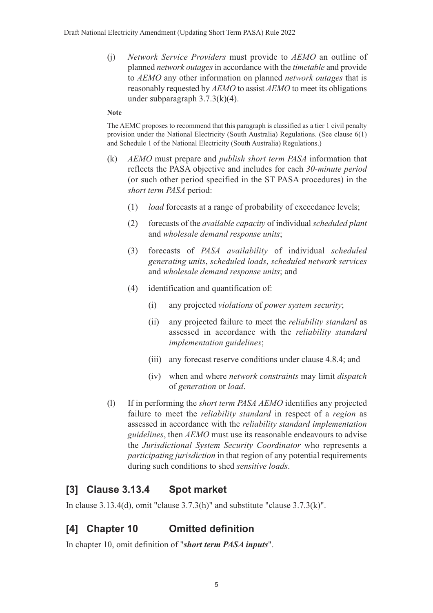(j) *Network Service Providers* must provide to *AEMO* an outline of planned *network outages* in accordance with the *timetable* and provide to *AEMO* any other information on planned *network outages* that is reasonably requested by *AEMO* to assist *AEMO* to meet its obligations under subparagraph 3.7.3(k)(4).

### **Note**

The AEMC proposes to recommend that this paragraph is classified as a tier 1 civil penalty provision under the National Electricity (South Australia) Regulations. (See clause 6(1) and Schedule 1 of the National Electricity (South Australia) Regulations.)

- (k) *AEMO* must prepare and *publish short term PASA* information that reflects the PASA objective and includes for each *30-minute period* (or such other period specified in the ST PASA procedures) in the *short term PASA* period:
	- (1) *load* forecasts at a range of probability of exceedance levels;
	- (2) forecasts of the *available capacity* of individual *scheduled plant* and *wholesale demand response units*;
	- (3) forecasts of *PASA availability* of individual *scheduled generating units*, *scheduled loads*, *scheduled network services* and *wholesale demand response units*; and
	- (4) identification and quantification of:
		- (i) any projected *violations* of *power system security*;
		- (ii) any projected failure to meet the *reliability standard* as assessed in accordance with the *reliability standard implementation guidelines*;
		- (iii) any forecast reserve conditions under clause 4.8.4; and
		- (iv) when and where *network constraints* may limit *dispatch* of *generation* or *load*.
- (l) If in performing the *short term PASA AEMO* identifies any projected failure to meet the *reliability standard* in respect of a *region* as assessed in accordance with the *reliability standard implementation guidelines*, then *AEMO* must use its reasonable endeavours to advise the *Jurisdictional System Security Coordinator* who represents a *participating jurisdiction* in that region of any potential requirements during such conditions to shed *sensitive loads*.

### **[3] Clause 3.13.4 Spot market**

In clause 3.13.4(d), omit "clause 3.7.3(h)" and substitute "clause 3.7.3(k)".

# **[4] Chapter 10 Omitted definition**

In chapter 10, omit definition of "*short term PASA inputs*".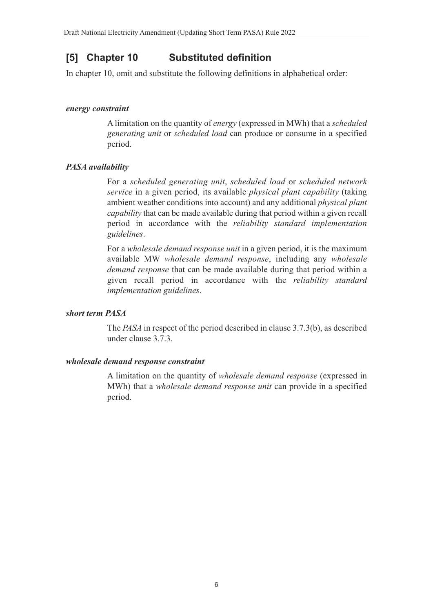## **[5] Chapter 10 Substituted definition**

In chapter 10, omit and substitute the following definitions in alphabetical order:

### *energy constraint*

A limitation on the quantity of *energy* (expressed in MWh) that a *scheduled generating unit* or *scheduled load* can produce or consume in a specified period.

### *PASA availability*

For a *scheduled generating unit*, *scheduled load* or *scheduled network service* in a given period, its available *physical plant capability* (taking ambient weather conditions into account) and any additional *physical plant capability* that can be made available during that period within a given recall period in accordance with the *reliability standard implementation guidelines*.

For a *wholesale demand response unit* in a given period, it is the maximum available MW *wholesale demand response*, including any *wholesale demand response* that can be made available during that period within a given recall period in accordance with the *reliability standard implementation guidelines*.

### *short term PASA*

The *PASA* in respect of the period described in clause 3.7.3(b), as described under clause 3.7.3.

### *wholesale demand response constraint*

A limitation on the quantity of *wholesale demand response* (expressed in MWh) that a *wholesale demand response unit* can provide in a specified period.